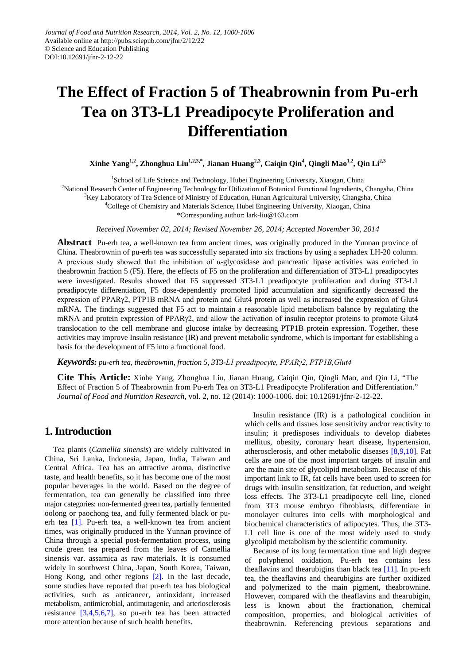# **The Effect of Fraction 5 of Theabrownin from Pu-erh Tea on 3T3-L1 Preadipocyte Proliferation and Differentiation**

**Xinhe Yang1,2, Zhonghua Liu1,2,3,\*, Jianan Huang2,3, Caiqin Qin4 , Qingli Mao1,2, Qin Li2,3**

<sup>1</sup>School of Life Science and Technology, Hubei Engineering University, Xiaogan, China <sup>2</sup>National Research Center of Engineering Technology for Utilization of Botanical Functional Ingredients, Changsha, China <sup>3</sup>Key Laboratory of Tea Science of Ministry of Education, Hunan Agricultural University, Changsha, China 4 College of Chemistry and Materials Science, Hubei Engineering University, Xiaogan, China

\*Corresponding author: lark-liu@163.com

*Received November 02, 2014; Revised November 26, 2014; Accepted November 30, 2014*

**Abstract** Pu-erh tea, a well-known tea from ancient times, was originally produced in the Yunnan province of China. Theabrownin of pu-erh tea was successfully separated into six fractions by using a sephadex LH-20 column. A previous study showed that the inhibition of  $\alpha$ -glycosidase and pancreatic lipase activities was enriched in theabrownin fraction 5 (F5). Here, the effects of F5 on the proliferation and differentiation of 3T3-L1 preadipocytes were investigated. Results showed that F5 suppressed 3T3-L1 preadipocyte proliferation and during 3T3-L1 preadipocyte differentiation, F5 dose-dependently promoted lipid accumulation and significantly decreased the expression of PPARγ2, PTP1B mRNA and protein and Glut4 protein as well as increased the expression of Glut4 mRNA. The findings suggested that F5 act to maintain a reasonable lipid metabolism balance by regulating the mRNA and protein expression of PPARγ2, and allow the activation of insulin receptor proteins to promote Glut4 translocation to the cell membrane and glucose intake by decreasing PTP1B protein expression. Together, these activities may improve Insulin resistance (IR) and prevent metabolic syndrome, which is important for establishing a basis for the development of F5 into a functional food.

*Keywords: pu-erh tea, theabrownin, fraction 5, 3T3-L1 preadipocyte, PPARγ2, PTP1B,Glut4*

**Cite This Article:** Xinhe Yang, Zhonghua Liu, Jianan Huang, Caiqin Qin, Qingli Mao, and Qin Li, "The Effect of Fraction 5 of Theabrownin from Pu-erh Tea on 3T3-L1 Preadipocyte Proliferation and Differentiation." *Journal of Food and Nutrition Research*, vol. 2, no. 12 (2014): 1000-1006. doi: 10.12691/jfnr-2-12-22.

# **1. Introduction**

Tea plants (*Camellia sinensis*) are widely cultivated in China, Sri Lanka, Indonesia, Japan, India, Taiwan and Central Africa. Tea has an attractive aroma, distinctive taste, and health benefits, so it has become one of the most popular beverages in the world. Based on the degree of fermentation, tea can generally be classified into three major categories: non-fermented green tea, partially fermented oolong or paochong tea, and fully fermented black or puerh tea [\[1\].](#page-5-0) Pu-erh tea, a well-known tea from ancient times, was originally produced in the Yunnan province of China through a special post-fermentation process, using crude green tea prepared from the leaves of Camellia sinensis var. assamica as raw materials. It is consumed widely in southwest China, Japan, South Korea, Taiwan, Hong Kong, and other regions [\[2\].](#page-5-1) In the last decade, some studies have reported that pu-erh tea has biological activities, such as anticancer, antioxidant, increased metabolism, antimicrobial, antimutagenic, and arteriosclerosis resistance [\[3,4,5,6,7\],](#page-5-2) so pu-erh tea has been attracted more attention because of such health benefits.

Insulin resistance (IR) is a pathological condition in which cells and tissues lose sensitivity and/or reactivity to insulin; it predisposes individuals to develop diabetes mellitus, obesity, coronary heart disease, hypertension, atherosclerosis, and other metabolic diseases [\[8,9,10\].](#page-5-3) Fat cells are one of the most important targets of insulin and are the main site of glycolipid metabolism. Because of this important link to IR, fat cells have been used to screen for drugs with insulin sensitization, fat reduction, and weight loss effects. The 3T3-L1 preadipocyte cell line, cloned from 3T3 mouse embryo fibroblasts, differentiate in monolayer cultures into cells with morphological and biochemical characteristics of adipocytes. Thus, the 3T3- L1 cell line is one of the most widely used to study glycolipid metabolism by the scientific community.

Because of its long fermentation time and high degree of polyphenol oxidation, Pu-erh tea contains less theaflavins and thearubigins than black tea [\[11\].](#page-5-4) In pu-erh tea, the theaflavins and thearubigins are further oxidized and polymerized to the main pigment, theabrownine. However, compared with the theaflavins and thearubigin, less is known about the fractionation, chemical composition, properties, and biological activities of theabrownin. Referencing previous separations and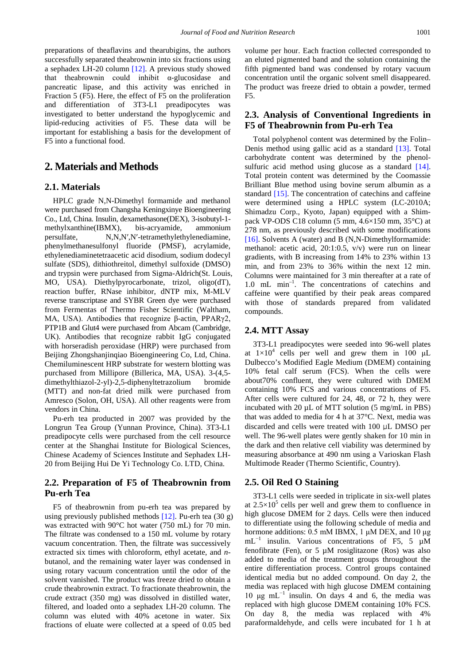preparations of theaflavins and thearubigins, the authors successfully separated theabrownin into six fractions using a sephadex LH-20 column [\[12\].](#page-5-5) A previous study showed that theabrownin could inhibit α-glucosidase and pancreatic lipase, and this activity was enriched in Fraction 5 (F5). Here, the effect of F5 on the proliferation and differentiation of 3T3-L1 preadipocytes was investigated to better understand the hypoglycemic and lipid-reducing activities of F5. These data will be important for establishing a basis for the development of F5 into a functional food.

# **2. Materials and Methods**

### **2.1. Materials**

HPLC grade N,N-Dimethyl formamide and methanol were purchased from Changsha Keningxinye Bioengineering Co., Ltd, China. Insulin, dexamethasone(DEX), 3-isobutyl-1 methylxanthine(IBMX), bis-acryamide, ammonium persulfate, N,N,N′,N′-tetramethylethylenediamine, phenylmethanesulfonyl fluoride (PMSF), acrylamide, ethylenediaminetetraacetic acid disodium, sodium dodecyl sulfate (SDS), dithiothreitol, dimethyl sulfoxide (DMSO) and trypsin were purchased from Sigma-Aldrich(St. Louis, MO, USA). Diethylpyrocarbonate, trizol, oligo(dT), reaction buffer, RNase inhibitor, dNTP mix, M-MLV reverse transcriptase and SYBR Green dye were purchased from Fermentas of Thermo Fisher Scientific (Waltham, MA, USA). Antibodies that recognize β-actin, PPARγ2, PTP1B and Glut4 were purchased from Abcam (Cambridge, UK). Antibodies that recognize rabbit IgG conjugated with horseradish peroxidase (HRP) were purchased from Beijing Zhongshanjinqiao Bioengineering Co, Ltd, China. Chemiluminescent HRP substrate for western blotting was purchased from Millipore (Billerica, MA, USA). 3-(4,5 dimethylthiazol-2-yl)-2,5-diphenyltetrazolium bromide (MTT) and non-fat dried milk were purchased from Amresco (Solon, OH, USA). All other reagents were from vendors in China.

Pu-erh tea producted in 2007 was provided by the Longrun Tea Group (Yunnan Province, China). 3T3-L1 preadipocyte cells were purchased from the cell resource center at the Shanghai Institute for Biological Sciences, Chinese Academy of Sciences Institute and Sephadex LH-20 from Beijing Hui De Yi Technology Co. LTD, China.

### **2.2. Preparation of F5 of Theabrownin from Pu-erh Tea**

F5 of theabrownin from pu-erh tea was prepared by using previously published methods  $[12]$ . Pu-erh tea  $(30 g)$ was extracted with 90°C hot water (750 mL) for 70 min. The filtrate was condensed to a 150 mL volume by rotary vacuum concentration. Then, the filtrate was successively extracted six times with chloroform, ethyl acetate, and *n*butanol, and the remaining water layer was condensed in using rotary vacuum concentration until the odor of the solvent vanished. The product was freeze dried to obtain a crude theabrownin extract. To fractionate theabrownin, the crude extract (350 mg) was dissolved in distilled water, filtered, and loaded onto a sephadex LH-20 column. The column was eluted with 40% acetone in water. Six fractions of eluate were collected at a speed of 0.05 bed

volume per hour. Each fraction collected corresponded to an eluted pigmented band and the solution containing the fifth pigmented band was condensed by rotary vacuum concentration until the organic solvent smell disappeared. The product was freeze dried to obtain a powder, termed F5.

## **2.3. Analysis of Conventional Ingredients in F5 of Theabrownin from Pu-erh Tea**

Total polyphenol content was determined by the Folin– Denis method using gallic acid as a standard [\[13\].](#page-5-6) Total carbohydrate content was determined by the phenol-sulfuric acid method using glucose as a standard [\[14\].](#page-5-7) Total protein content was determined by the Coomassie Brilliant Blue method using bovine serum albumin as a standard [\[15\].](#page-5-8) The concentration of catechins and caffeine were determined using a HPLC system (LC-2010A; Shimadzu Corp., Kyoto, Japan) equipped with a Shimpack VP-ODS C18 column  $(5 \text{ mm}, 4.6 \times 150 \text{ mm}, 35^{\circ}\text{C})$  at 278 nm, as previously described with some modifications [\[16\].](#page-5-9) Solvents A (water) and B (N,N-Dimethylformamide: methanol: acetic acid, 20:1:0.5, v/v) were run on linear gradients, with B increasing from 14% to 23% within 13 min, and from 23% to 36% within the next 12 min. Columns were maintained for 3 min thereafter at a rate of 1.0 mL min–1 . The concentrations of catechins and caffeine were quantified by their peak areas compared with those of standards prepared from validated compounds.

#### **2.4. MTT Assay**

3T3-L1 preadipocytes were seeded into 96-well plates at  $1\times10^4$  cells per well and grew them in 100  $\mu$ L Dulbecco's Modified Eagle Medium (DMEM) containing 10% fetal calf serum (FCS). When the cells were about70% confluent, they were cultured with DMEM containing 10% FCS and various concentrations of F5. After cells were cultured for 24, 48, or 72 h, they were incubated with 20 µL of MTT solution (5 mg/mL in PBS) that was added to media for 4 h at 37°C. Next, media was discarded and cells were treated with 100 μL DMSO per well. The 96-well plates were gently shaken for 10 min in the dark and then relative cell viability was determined by measuring absorbance at 490 nm using a Varioskan Flash Multimode Reader (Thermo Scientific, Country).

#### **2.5. Oil Red O Staining**

3T3-L1 cells were seeded in triplicate in six-well plates at  $2.5 \times 10^5$  cells per well and grew them to confluence in high glucose DMEM for 2 days. Cells were then induced to differentiate using the following schedule of media and hormone additions: 0.5 mM IBMX, 1 μM DEX, and 10 μg  $mL^{-1}$  insulin. Various concentrations of F5, 5  $\mu$ M fenofibrate (Fen), or 5  $\mu$ M rosiglitazone (Ros) was also added to media of the treatment groups throughout the entire differentiation process. Control groups contained identical media but no added compound. On day 2, the media was replaced with high glucose DMEM containing 10 μg mL $^{-1}$  insulin. On days 4 and 6, the media was replaced with high glucose DMEM containing 10% FCS. On day 8, the media was replaced with 4% paraformaldehyde, and cells were incubated for 1 h at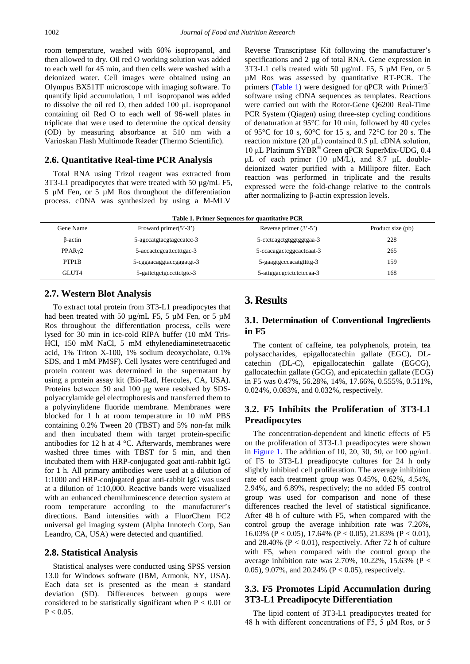room temperature, washed with 60% isopropanol, and then allowed to dry. Oil red O working solution was added to each well for 45 min, and then cells were washed with a deionized water. Cell images were obtained using an Olympus BX51TF microscope with imaging software. To quantify lipid accumulation, 1 mL isopropanol was added to dissolve the oil red O, then added 100 μL isopropanol containing oil Red O to each well of 96-well plates in triplicate that were used to determine the optical density (OD) by measuring absorbance at 510 nm with a Varioskan Flash Multimode Reader (Thermo Scientific).

#### **2.6. Quantitative Real-time PCR Analysis**

Total RNA using Trizol reagent was extracted from 3T3-L1 preadipocytes that were treated with 50 µg/mL F5, 5 µM Fen, or 5 µM Ros throughout the differentiation process. cDNA was synthesized by using a M-MLV

Reverse Transcriptase Kit following the manufacturer's specifications and 2 µg of total RNA. Gene expression in 3T3-L1 cells treated with 50 µg/mL F5, 5 µM Fen, or 5 µM Ros was assessed by quantitative RT-PCR. The primers [\(Table 1\)](#page-2-0) were designed for qPCR with  $Primary<sup>+</sup>$ software using cDNA sequences as templates. Reactions were carried out with the Rotor-Gene Q6200 Real-Time PCR System (Qiagen) using three-step cycling conditions of denaturation at 95°C for 10 min, followed by 40 cycles of 95°C for 10 s, 60°C for 15 s, and 72°C for 20 s. The reaction mixture (20 μL) contained 0.5 μL cDNA solution, 10 μL Platinum SYBR® Green qPCR SuperMix-UDG, 0.4 μL of each primer (10 μM/L), and 8.7 μL doubledeionized water purified with a Millipore filter. Each reaction was performed in triplicate and the results expressed were the fold-change relative to the controls after normalizing to β-actin expression levels.

**Table 1. Primer Sequences for quantitative PCR**

<span id="page-2-0"></span>

| Gene Name           | Froward primer $(5^{\prime}$ -3') | Reverse primer $(3'$ -5') | Product size (pb) |
|---------------------|-----------------------------------|---------------------------|-------------------|
| β-actin             | 5-agccatgtacgtagccatcc-3          | 5-ctctcagctgtggtggtgaa-3  | 228               |
| PPAR <sub>Y</sub> 2 | 5-accactograttcotttgac-3          | 5-ccacagactcggcactcaat-3  | 265               |
| PTP1B               | 5-cggaacaggtaccgagatgt-3          | 5-gaagtgcccacatgttttg-3   | 159               |
| GLUT4               | 5-gattetgetgeeettetgte-3          | 5-attggacgctctctctccaa-3  | 168               |
|                     |                                   |                           |                   |

#### **2.7. Western Blot Analysis**

To extract total protein from 3T3-L1 preadipocytes that had been treated with 50 ug/mL F5, 5 uM Fen, or 5 uM Ros throughout the differentiation process, cells were lysed for 30 min in ice-cold RIPA buffer (10 mM Tris-HCl, 150 mM NaCl, 5 mM ethylenediaminetetraacetic acid, 1% Triton X-100, 1% sodium deoxycholate, 0.1% SDS, and 1 mM PMSF). Cell lysates were centrifuged and protein content was determined in the supernatant by using a protein assay kit (Bio-Rad, Hercules, CA, USA). Proteins between 50 and 100 μg were resolved by SDSpolyacrylamide gel electrophoresis and transferred them to a polyvinylidene fluoride membrane. Membranes were blocked for 1 h at room temperature in 10 mM PBS containing 0.2% Tween 20 (TBST) and 5% non-fat milk and then incubated them with target protein-specific antibodies for 12 h at 4 °C. Afterwards, membranes were washed three times with TBST for 5 min, and then incubated them with HRP-conjugated goat anti-rabbit IgG for 1 h. All primary antibodies were used at a dilution of 1:1000 and HRP-conjugated goat anti-rabbit IgG was used at a dilution of 1:10,000. Reactive bands were visualized with an enhanced chemiluminescence detection system at room temperature according to the manufacturer's directions. Band intensities with a FluorChem FC2 universal gel imaging system (Alpha Innotech Corp, San Leandro, CA, USA) were detected and quantified.

#### **2.8. Statistical Analysis**

Statistical analyses were conducted using SPSS version 13.0 for Windows software (IBM, Armonk, NY, USA). Each data set is presented as the mean  $\pm$  standard deviation (SD). Differences between groups were considered to be statistically significant when  $P < 0.01$  or  $P < 0.05$ .

## **3. Results**

## **3.1. Determination of Conventional Ingredients in F5**

The content of caffeine, tea polyphenols, protein, tea polysaccharides, epigallocatechin gallate (EGC), DLcatechin (DL-C), epigallocatechin gallate (EGCG), gallocatechin gallate (GCG), and epicatechin gallate (ECG) in F5 was 0.47%, 56.28%, 14%, 17.66%, 0.555%, 0.511%, 0.024%, 0.083%, and 0.032%, respectively.

# **3.2. F5 Inhibits the Proliferation of 3T3-L1 Preadipocytes**

The concentration-dependent and kinetic effects of F5 on the proliferation of 3T3-L1 preadipocytes were shown in [Figure 1.](#page-3-0) The addition of 10, 20, 30, 50, or 100  $\mu$ g/mL of F5 to 3T3-L1 preadipocyte cultures for 24 h only slightly inhibited cell proliferation. The average inhibition rate of each treatment group was 0.45%, 0.62%, 4.54%, 2.94%, and 6.89%, respectively; the no added F5 control group was used for comparison and none of these differences reached the level of statistical significance. After 48 h of culture with F5, when compared with the control group the average inhibition rate was 7.26%, 16.03% (P < 0.05), 17.64% (P < 0.05), 21.83% (P < 0.01), and  $28.40\%$  (P < 0.01), respectively. After 72 h of culture with F5, when compared with the control group the average inhibition rate was 2.70%, 10.22%, 15.63% (P < 0.05), 9.07%, and 20.24% ( $P < 0.05$ ), respectively.

## **3.3. F5 Promotes Lipid Accumulation during 3T3-L1 Preadipocyte Differentiation**

The lipid content of 3T3-L1 preadipocytes treated for 48 h with different concentrations of F5, 5 μM Ros, or 5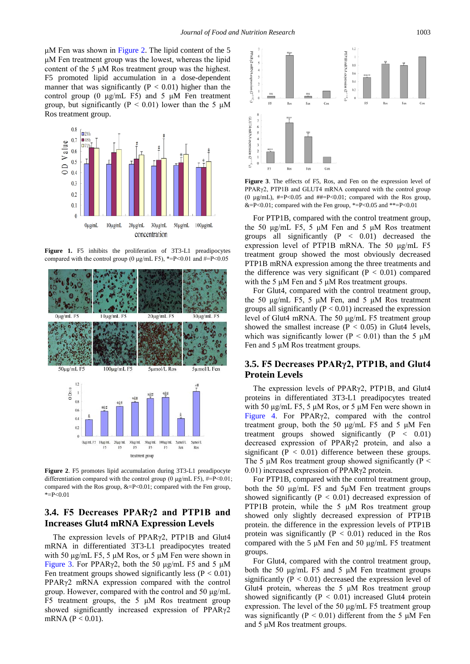μM Fen was shown in [Figure 2.](#page-3-1) The lipid content of the 5 μM Fen treatment group was the lowest, whereas the lipid content of the 5 μM Ros treatment group was the highest. F5 promoted lipid accumulation in a dose-dependent manner that was significantly ( $P < 0.01$ ) higher than the control group (0  $\mu$ g/mL F5) and 5  $\mu$ M Fen treatment group, but significantly ( $P < 0.01$ ) lower than the 5  $\mu$ M Ros treatment group.

<span id="page-3-0"></span>

**Figure 1.** F5 inhibits the proliferation of 3T3-L1 preadipocytes compared with the control group (0  $\mu$ g/mL F5), \*=P<0.01 and #=P<0.05

<span id="page-3-1"></span>

**Figure 2**. F5 promotes lipid accumulation during 3T3-L1 preadipocyte differentiation compared with the control group (0 μg/mL F5), #=P<0.01; compared with the Ros group, &=P<0.01; compared with the Fen group,  $E = P < 0.01$ 

#### **3.4. F5 Decreases PPARγ2 and PTP1B and Increases Glut4 mRNA Expression Levels**

The expression levels of PPARγ2, PTP1B and Glut4 mRNA in differentiated 3T3-L1 preadipocytes treated with 50  $\mu$ g/mL F5, 5  $\mu$ M Ros, or 5  $\mu$ M Fen were shown in [Figure 3](#page-3-2). For PPAR $\gamma$ 2, both the 50 μg/mL F5 and 5 μM Fen treatment groups showed significantly less ( $P < 0.01$ ) PPARγ2 mRNA expression compared with the control group. However, compared with the control and 50 μg/mL F5 treatment groups, the  $5 \mu M$  Ros treatment group showed significantly increased expression of PPARγ2 mRNA ( $P < 0.01$ ).

<span id="page-3-2"></span>

**Figure 3**. The effects of F5, Ros, and Fen on the expression level of PPARγ2, PTP1B and GLUT4 mRNA compared with the control group (0  $\mu$ g/mL), #=P<0.05 and ##=P<0.01; compared with the Ros group, &=P<0.01; compared with the Fen group, \*=P<0.05 and \*\*=P<0.01

For PTP1B, compared with the control treatment group, the 50 μg/mL F5, 5 μM Fen and 5 μM Ros treatment groups all significantly  $(P < 0.01)$  decreased the expression level of PTP1B mRNA. The 50 μg/mL F5 treatment group showed the most obviously decreased PTP1B mRNA expression among the three treatments and the difference was very significant  $(P < 0.01)$  compared with the 5 μM Fen and 5 μM Ros treatment groups.

For Glut4, compared with the control treatment group, the 50 μg/mL F5, 5 μM Fen, and 5 μM Ros treatment groups all significantly ( $P < 0.01$ ) increased the expression level of Glut4 mRNA. The 50 μg/mL F5 treatment group showed the smallest increase  $(P < 0.05)$  in Glut4 levels, which was significantly lower ( $P < 0.01$ ) than the 5  $\mu$ M Fen and 5 μM Ros treatment groups.

### **3.5. F5 Decreases PPARγ2, PTP1B, and Glut4 Protein Levels**

The expression levels of PPARγ2, PTP1B, and Glut4 proteins in differentiated 3T3-L1 preadipocytes treated with 50 μg/mL F5, 5 μM Ros, or 5 μM Fen were shown in [Figure 4](#page-4-0). For PPARγ2, compared with the control treatment group, both the 50  $\mu$ g/mL F5 and 5  $\mu$ M Fen treatment groups showed significantly  $(P < 0.01)$ decreased expression of PPARγ2 protein, and also a significant ( $P < 0.01$ ) difference between these groups. The 5  $\mu$ M Ros treatment group showed significantly (P < 0.01) increased expression of PPARγ2 protein.

For PTP1B, compared with the control treatment group, both the 50 μg/mL F5 and 5μM Fen treatment groups showed significantly  $(P < 0.01)$  decreased expression of PTP1B protein, while the 5 μM Ros treatment group showed only slightly decreased expression of PTP1B protein. the difference in the expression levels of PTP1B protein was significantly  $(P < 0.01)$  reduced in the Ros compared with the 5 μM Fen and 50 μg/mL F5 treatment groups.

For Glut4, compared with the control treatment group, both the 50 μg/mL F5 and 5 μM Fen treatment groups significantly ( $P < 0.01$ ) decreased the expression level of Glut4 protein, whereas the  $5 \mu M$  Ros treatment group showed significantly  $(P < 0.01)$  increased Glut4 protein expression. The level of the 50 μg/mL F5 treatment group was significantly ( $P < 0.01$ ) different from the 5  $\mu$ M Fen and 5 μM Ros treatment groups.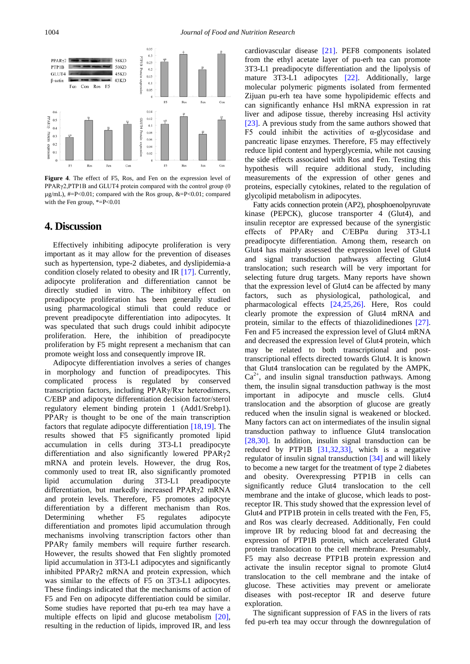<span id="page-4-0"></span>

**Figure 4**. The effect of F5, Ros, and Fen on the expression level of PPARγ2,PTP1B and GLUT4 protein compared with the control group (0 µg/mL), #=P<0.01; compared with the Ros group, &=P<0.01; compared with the Fen group, \*=P<0.01

# **4. Discussion**

Effectively inhibiting adipocyte proliferation is very important as it may allow for the prevention of diseases such as hypertension, type-2 diabetes, and dyslipidemia-a condition closely related to obesity and IR [\[17\].](#page-5-10) Currently, adipocyte proliferation and differentiation cannot be directly studied in vitro. The inhibitory effect on preadipocyte proliferation has been generally studied using pharmacological stimuli that could reduce or prevent preadipocyte differentiation into adipocytes. It was speculated that such drugs could inhibit adipocyte proliferation. Here, the inhibition of preadipocyte proliferation by F5 might represent a mechanism that can promote weight loss and consequently improve IR.

Adipocyte differentiation involves a series of changes in morphology and function of preadipocytes. This complicated process is regulated by conserved transcription factors, including PPARγ/Rxr heterodimers, C/EBP and adipocyte differentiation decision factor/sterol regulatory element binding protein 1 (Add1/Srebp1). PPARγ is thought to be one of the main transcription factors that regulate adipocyte differentiation [\[18,19\].](#page-5-11) The results showed that F5 significantly promoted lipid accumulation in cells during 3T3-L1 preadipocyte differentiation and also significantly lowered PPARγ2 mRNA and protein levels. However, the drug Ros, commonly used to treat IR, also significantly promoted lipid accumulation during 3T3-L1 preadipocyte differentiation, but markedly increased PPARγ2 mRNA and protein levels. Therefore, F5 promotes adipocyte differentiation by a different mechanism than Ros. Determining whether F5 regulates adipocyte differentiation and promotes lipid accumulation through mechanisms involving transcription factors other than PPARγ family members will require further research. However, the results showed that Fen slightly promoted lipid accumulation in 3T3-L1 adipocytes and significantly inhibited PPARγ2 mRNA and protein expression, which was similar to the effects of F5 on 3T3-L1 adipocytes. These findings indicated that the mechanisms of action of F5 and Fen on adipocyte differentiation could be similar. Some studies have reported that pu-erh tea may have a multiple effects on lipid and glucose metabolism [\[20\],](#page-5-12) resulting in the reduction of lipids, improved IR, and less cardiovascular disease [\[21\].](#page-5-13) PEF8 components isolated from the ethyl acetate layer of pu-erh tea can promote 3T3-L1 preadipocyte differentiation and the lipolysis of mature 3T3-L1 adipocytes [\[22\].](#page-5-14) Additionally, large molecular polymeric pigments isolated from fermented Zijuan pu-erh tea have some hypolipidemic effects and can significantly enhance Hsl mRNA expression in rat liver and adipose tissue, thereby increasing Hsl activity [\[23\].](#page-5-15) A previous study from the same authors showed that F5 could inhibit the activities of α-glycosidase and pancreatic lipase enzymes. Therefore, F5 may effectively reduce lipid content and hyperglycemia, while not causing the side effects associated with Ros and Fen. Testing this hypothesis will require additional study, including measurements of the expression of other genes and proteins, especially cytokines, related to the regulation of glycolipid metabolism in adipocytes.

Fatty acids connection protein (AP2), phosphoenolpyruvate kinase (PEPCK), glucose transporter 4 (Glut4), and insulin receptor are expressed because of the synergistic effects of PPARγ and C/EBPα during 3T3-L1 preadipocyte differentiation. Among them, research on Glut4 has mainly assessed the expression level of Glut4 and signal transduction pathways affecting Glut4 translocation; such research will be very important for selecting future drug targets. Many reports have shown that the expression level of Glut4 can be affected by many factors, such as physiological, pathological, and pharmacological effects [\[24,25,26\].](#page-5-16) Here, Ros could clearly promote the expression of Glut4 mRNA and protein, similar to the effects of thiazolidinediones [\[27\].](#page-5-17) Fen and F5 increased the expression level of Glut4 mRNA and decreased the expression level of Glut4 protein, which may be related to both transcriptional and posttranscriptional effects directed towards Glut4. It is known that Glut4 translocation can be regulated by the AMPK,  $Ca<sup>2+</sup>$ , and insulin signal transduction pathways. Among them, the insulin signal transduction pathway is the most important in adipocyte and muscle cells. Glut4 translocation and the absorption of glucose are greatly reduced when the insulin signal is weakened or blocked. Many factors can act on intermediates of the insulin signal transduction pathway to influence Glut4 translocation [\[28,30\].](#page-5-18) In addition, insulin signal transduction can be reduced by PTP1B [\[31,32,33\],](#page-6-0) which is a negative regulator of insulin signal transduction [\[34\]](#page-6-1) and will likely to become a new target for the treatment of type 2 diabetes and obesity. Overexpressing PTP1B in cells can significantly reduce Glut4 translocation to the cell membrane and the intake of glucose, which leads to postreceptor IR. This study showed that the expression level of Glut4 and PTP1B protein in cells treated with the Fen, F5, and Ros was clearly decreased. Additionally, Fen could improve IR by reducing blood fat and decreasing the expression of PTP1B protein, which accelerated Glut4 protein translocation to the cell membrane. Presumably, F5 may also decrease PTP1B protein expression and activate the insulin receptor signal to promote Glut4 translocation to the cell membrane and the intake of glucose. These activities may prevent or ameliorate diseases with post-receptor IR and deserve future exploration.

The significant suppression of FAS in the livers of rats fed pu-erh tea may occur through the downregulation of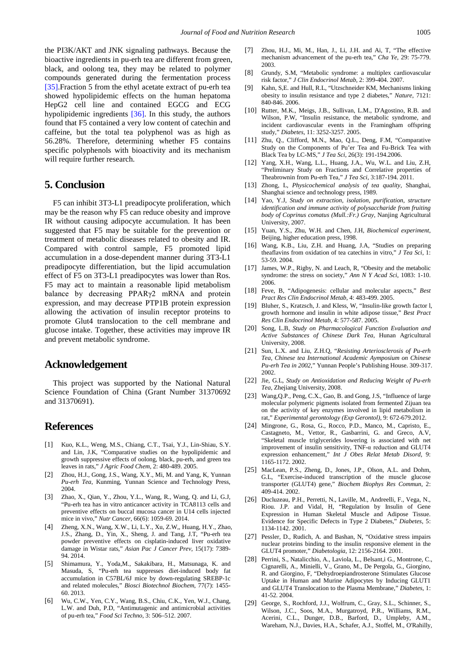the PI3K/AKT and JNK signaling pathways. Because the bioactive ingredients in pu-erh tea are different from green, black, and oolong tea, they may be related to polymer compounds generated during the fermentation process [\[35\].F](#page-6-2)raction 5 from the ethyl acetate extract of pu-erh tea showed hypolipidemic effects on the human hepatoma HepG2 cell line and contained EGCG and ECG hypolipidemic ingredients [\[36\].](#page-6-3) In this study, the authors found that F5 contained a very low content of catechin and caffeine, but the total tea polyphenol was as high as 56.28%. Therefore, determining whether F5 contains specific polyphenols with bioactivity and its mechanism will require further research.

# **5. Conclusion**

F5 can inhibit 3T3-L1 preadipocyte proliferation, which may be the reason why F5 can reduce obesity and improve IR without causing adipocyte accumulation. It has been suggested that F5 may be suitable for the prevention or treatment of metabolic diseases related to obesity and IR. Compared with control sample, F5 promoted lipid accumulation in a dose-dependent manner during 3T3-L1 preadipocyte differentiation, but the lipid accumulation effect of F5 on 3T3-L1 preadipocytes was lower than Ros. F5 may act to maintain a reasonable lipid metabolism balance by decreasing PPARγ2 mRNA and protein expression, and may decrease PTP1B protein expression allowing the activation of insulin receptor proteins to promote Glut4 translocation to the cell membrane and glucose intake. Together, these activities may improve IR and prevent metabolic syndrome.

## **Acknowledgement**

This project was supported by the National Natural Science Foundation of China (Grant Number 31370692 and 31370691).

# **References**

- <span id="page-5-0"></span>[1] Kuo, K.L., Weng, M.S., Chiang, C.T., Tsai, Y.J., Lin-Shiau, S.Y. and Lin, J.K, "Comparative studies on the hypolipidemic and growth suppressive effects of oolong, black, pu-erh, and green tea leaves in rats," *J Agric Food Chem*, 2: 480-489. 2005.
- <span id="page-5-1"></span>[2] Zhou, H.J., Gong, J.S., Wang, X.Y., Mi, M. and Yang, K, Yunnan *Pu-erh Tea*, Kunming, Yunnan Science and Technology Press, 2004.
- <span id="page-5-2"></span>[3] Zhao, X., Qian, Y., Zhou, Y.L., Wang, R., Wang, Q. and Li, G.J, "Pu-erh tea has in vitro anticancer activity in TCA8113 cells and preventive effects on buccal mucosa cancer in U14 cells injected mice in vivo," *Nutr Cancer*, 66(6): 1059-69. 2014.
- [4] Zheng, X.N., Wang, X.W., Li, L.Y., Xu, Z.W,, Huang, H.Y., Zhao, J.S., Zhang, D., Yin, X., Sheng, J. and Tang, J.T, "Pu-erh tea powder preventive effects on cisplatin-induced liver oxidative damage in Wistar rats," *Asian Pac J Cancer Prev*, 15(17): 7389- 94. 2014.
- [5] Shimamura, Y., Yoda,M., Sakakibara, H., Matsunaga, K. and Masuda, S, "Pu-erh tea suppresses diet-induced body fat accumulation in C57BL/6J mice by down-regulating SREBP-1c and related molecules," *Biosci Biotechnol Biochem*, 77(7): 1455- 60. 2013.
- [6] Wu, C.W., Yen, C.Y., Wang, B.S., Chiu, C.K., Yen, W.J., Chang, L.W. and Duh, P.D, "Antimutagenic and antimicrobial activities of pu-erh tea," *Food Sci Techno*, 3: 506–512. 2007.
- [7] Zhou, H.J., Mi, M., Han, J., Li, J.H. and Ai, T, "The effective mechanism advancement of the pu-erh tea," *Cha Ye*, 29: 75-779. 2003.
- <span id="page-5-3"></span>[8] Grundy, S.M, "Metabolic syndrome: a multiplex cardiovascular risk factor," *J Clin Endocrinol Metab*, 2: 399-404. 2007.
- [9] Kahn, S,E. and Hull, R.L, "Utzschneider KM, Mechanisms linking obesity to insulin resistance and type 2 diabetes," *Nature*, 7121: 840-846. 2006.
- [10] Rutter, M.K., Meigs, J.B., Sullivan, L.M., D'Agostino, R.B. and Wilson, P.W. "Insulin resistance, the metabolic syndrome, and incident cardiovascular events in the Framingham offspring study," *Diabetes*, 11: 3252-3257. 2005.
- <span id="page-5-4"></span>[11] Zhu, Q., Clifford, M.N., Mao, Q.L., Deng, F.M, "Comparative Study on the Components of Pu'er Tea and Fu-Brick Tea with Black Tea by LC-MS," *J Tea Sci*, 26(3): 191-194.2006.
- <span id="page-5-5"></span>[12] Yang, X.H., Wang, L.L., Huang, J.A., Wu, W.L. and Liu, Z.H, "Preliminary Study on Fractions and Correlative properties of Theabrownin from Pu-erh Tea," *J Tea Sci*, 3:187-194. 2011.
- <span id="page-5-6"></span>[13] Zhong, L, *Physicochemical analysis of tea quality*, Shanghai, Shanghai science and technology press, 1989.
- <span id="page-5-7"></span>[14] Yao, Y.J, *Study on extraction, isolation, purification, structure identification and immune activity of polysaccharide from fruiting body of Coprinus comatus (Mull.:Fr.) Gray*, Nanjing Agricultural University, 2007.
- <span id="page-5-8"></span>[15] Yuan, Y.S., Zhu, W.H. and Chen, J.H, *Biochemical experiment*, Beijing, higher education press, 1998.
- <span id="page-5-9"></span>[16] Wang, K.B., Liu, Z.H. and Huang, J.A, "Studies on preparing theaflavins from oxidation of tea catechins in vitro," *J Tea Sci*, 1: 53-59. 2004.
- <span id="page-5-10"></span>[17] James, W.P., Rigby, N. and Leach, R, "Obesity and the metabolic syndrome: the stress on society," *Ann N Y Acad Sci*, 1083: 1-10. 2006.
- <span id="page-5-11"></span>[18] Feve, B, "Adipogenesis: cellular and molecular aspects," *Best Pract Res Clin Endocrinol Metab*, 4: 483-499. 2005.
- [19] Bluher, S., Kratzsch, J. and KIess, W, "Insulin-like growth factor l, growth hormone and insulin in white adipose tissue," *Best Pract Res Clin Endocrinol Metab*, 4: 577-587. 2005.
- <span id="page-5-12"></span>[20] Song, L.B, *Study on Pharmacological Function Evaluation and Active Substances of Chinese Dark Tea*, Hunan Agricultural University, 2008.
- <span id="page-5-13"></span>[21] Sun, L.X. and Liu, Z.H.Q, "*Resisting Arteriosclerosis of Pu-erh Tea, Chinese tea International Academic Aymposium on Chinese Pu-erh Tea in 2002,*" Yunnan People's Publishing House. 309-317. 2002.
- <span id="page-5-14"></span>[22] Jie, G.L, *Study on Antioxidation and Reducing Weight of Pu-erh Tea*, Zhejiang University, 2008.
- <span id="page-5-15"></span>[23] Wang,Q.P., Peng, C.X., Gao, B. and Gong, J.S, "Influence of large molecular polymeric pigments isolated from fermented Zijuan tea on the activity of key enzymes involved in lipid metabolism in rat," *Experimental gerontology (Exp Gerontol)*, 9: 672-679.2012.
- <span id="page-5-16"></span>[24] Mingrone, G., Rosa, G., Rocco, P.D., Manco, M., Capristo, E., Castagneto, M., Vettor, R., Gasbarrini, G. and Greco, A.V, "Skeletal muscle triglycerides lowering is associated with net improvement of insulin sensitivity, TNF-α reduction and GLUT4 expression enhancement," *Int J Obes Relat Metab Disord*, 9: 1165-1172. 2002.
- [25] MacLean, P.S., Zheng, D., Jones, J.P., Olson, A.L. and Dohm, G.L, "Exercise-induced transcription of the muscle glucose transporter (GLUT4) gene," *Biochem Biophys Res Commun*, 2: 409-414. 2002.
- [26] Ducluzeau, P.H., Perretti, N., Laville, M., Andreelli, F., Vega, N., Riou. J.P. and Vidal, H, "Regulation by Insulin of Gene Expression in Human Skeletal Muscle and Adipose Tissue. Evidence for Specific Defects in Type 2 Diabetes," *Diabetes*, 5: 1134-1142. 2001.
- <span id="page-5-17"></span>[27] Pessler, D., Rudich, A. and Bashan, N, "Oxidative stress impairs nuclear proteins binding to the insulin responsive element in the GLUT4 promoter," *Diabetologia*, 12: 2156-2164. 2001.
- <span id="page-5-18"></span>[28] Perrini, S., Natalicchio, A., Laviola, L., Belsant,i G., Montrone, C., Cignarelli, A., Minielli, V., Grano, M., De Pergola, G., Giorgino, R. and Giorgino, F, "Dehydroepiandrosterone Stimulates Glucose Uptake in Human and Murine Adipocytes by Inducing GLUT1 and GLUT4 Translocation to the Plasma Membrane," *Diabetes*, 1: 41-52. 2004.
- [29] George, S., Rochford, J.J., Wolfrum, C., Gray, S.L., Schinner, S., Wilson, J.C., Soos, M.A., Murgatroyd, P.R., Williams, R.M., Acerini, C.L., Dunger, D.B., Barford, D., Umpleby, A.M., Wareham, N.J., Davies, H.A., Schafer, A.J., Stoffel, M., O'Rahilly,